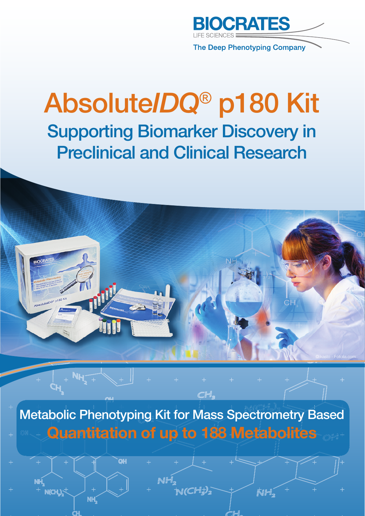

**The Deep Phenotyping Company** 

# Absolute*IDQ*® p180 Kit Supporting Biomarker Discovery in Preclinical and Clinical Research



Metabolic Phenotyping Kit for Mass Spectrometry Based **Quantitation of up to 188 Metabolites** 

N(CH3):

**NH** 

CH.

**NH** 

**V(CH.).<sup>5</sup>** 

**NH** 

**OH**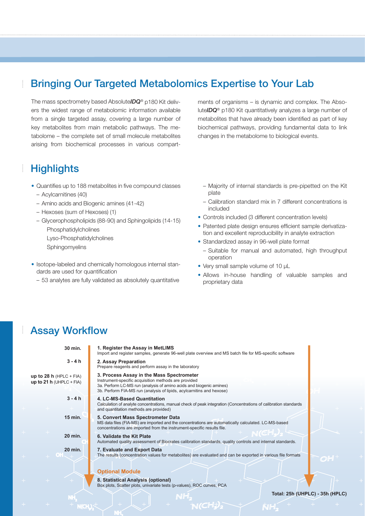### Bringing Our Targeted Metabolomics Expertise to Your Lab

The mass spectrometry based Absolute*IDQ*® p180 Kit delivers the widest range of metabolomic information available from a single targeted assay, covering a large number of key metabolites from main metabolic pathways. The metabolome – the complete set of small molecule metabolites arising from biochemical processes in various compart-

### **Highlights**

- Quantifies up to 188 metabolites in five compound classes
	- Acylcarnitines (40)
	- Amino acids and Biogenic amines (41-42)
	- Hexoses (sum of Hexoses) (1)
	- Glycerophospholipids (88-90) and Sphingolipids (14-15) Phosphatidylcholines Lyso-Phosphatidylcholines
		- Sphingomyelins
- Isotope-labeled and chemically homologous internal standards are used for quantification
	- 53 analytes are fully validated as absolutely quantitative

ments of organisms – is dynamic and complex. The Absolute*IDQ*® p180 Kit quantitatively analyzes a large number of metabolites that have already been identified as part of key biochemical pathways, providing fundamental data to link changes in the metabolome to biological events.

- Majority of internal standards is pre-pipetted on the Kit plate
- Calibration standard mix in 7 different concentrations is included
- Controls included (3 different concentration levels)
- Patented plate design ensures efficient sample derivatization and excellent reproducibility in analyte extraction
- Standardized assay in 96-well plate format
	- Suitable for manual and automated, high throughput operation
- Very small sample volume of 10 μL
- Allows in-house handling of valuable samples and proprietary data

NH.

### **Assay Workflow**

| 30 min.                                               | 1. Register the Assay in MetLIMS<br>Import and register samples, generate 96-well plate overview and MS batch file for MS-specific software                                                                                                       |
|-------------------------------------------------------|---------------------------------------------------------------------------------------------------------------------------------------------------------------------------------------------------------------------------------------------------|
| $3 - 4h$                                              | 2. Assay Preparation<br>Prepare reagents and perform assay in the laboratory                                                                                                                                                                      |
| up to 28 h $(HPLC + FIA)$<br>up to 21 h (UHPLC + FIA) | 3. Process Assay in the Mass Spectrometer<br>Instrument-specific acquisition methods are provided<br>3a. Perform LC-MS run (analysis of amino acids and biogenic amines)<br>3b. Perform FIA-MS run (analysis of lipids, acylcarnitins and hexose) |
| $3 - 4h$                                              | 4. LC-MS-Based Quantitation<br>Calculation of analyte concentrations, manual check of peak integration (Concentrations of calibration standards<br>and quantitation methods are provided)                                                         |
| 15 min.                                               | 5. Convert Mass Spectrometer Data<br>MS data files (FIA-MS) are imported and the concentrations are automatically calculated. LC-MS-based<br>concentrations are imported from the instrument-specific results file.                               |
| 20 min.                                               | 6. Validate the Kit Plate<br>Automated quality assessment of Biocrates calibration standards, quality controls and internal standards.                                                                                                            |
| 20 min.                                               | 7. Evaluate and Export Data<br>The results (concentration values for metabolites) are evaluated and can be exported in various file formats                                                                                                       |
|                                                       | <b>Optional Module</b>                                                                                                                                                                                                                            |
|                                                       | 8. Statistical Analysis (optional)<br>Box plots, Scatter plots, univariate tests (p-values), ROC curves, PCA                                                                                                                                      |
|                                                       | Total: 25h (UHPLC) - 35h (HPLC)                                                                                                                                                                                                                   |
|                                                       |                                                                                                                                                                                                                                                   |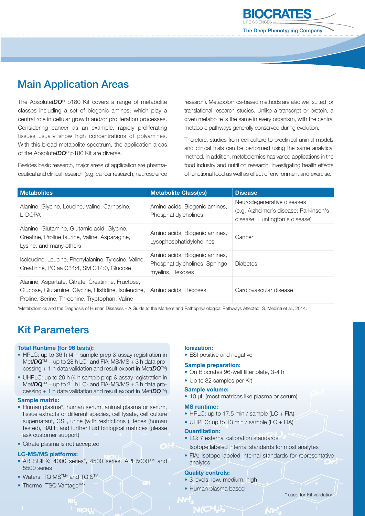

### Main Application Areas

The Absolute*IDQ*® p180 Kit covers a range of metabolite classes including a set of biogenic amines, which play a central role in cellular growth and/or proliferation processes. Considering cancer as an example, rapidly proliferating tissues usually show high concentrations of polyamines. With this broad metabolite spectrum, the application areas of the Absolute*IDQ*® p180 Kit are diverse.

Besides basic research, major areas of application are pharmaceutical and clinical research (e.g. cancer research, neuroscience research). Metabolomics-based methods are also well suited for translational research studies. Unlike a transcript or protein, a given metabolite is the same in every organism, with the central metabolic pathways generally conserved during evolution.

Therefore, studies from cell culture to preclinical animal models and clinical trials can be performed using the same analytical method. In addition, metabolomics has varied applications in the food industry and nutrition research, investigating health effects of functional food as well as effect of environment and exercise.

| <b>Metabolites</b>                                                                                                                                          | <b>Metabolite Class(es)</b>                                                         | <b>Disease</b>                                                                                         |
|-------------------------------------------------------------------------------------------------------------------------------------------------------------|-------------------------------------------------------------------------------------|--------------------------------------------------------------------------------------------------------|
| Alanine, Glycine, Leucine, Valine, Carnosine,<br>L-DOPA                                                                                                     | Amino acids, Biogenic amines,<br>Phosphatidylcholines                               | Neurodegenerative diseases<br>(e.g. Alzheimer's disease; Parkinson's<br>disease; Huntington's disease) |
| Alanine, Glutamine, Glutamic acid, Glycine,<br>Creatine, Proline taurine, Valine, Asparagine,<br>Lysine, and many others                                    | Amino acids, Biogenic amines,<br>Lysophosphatidylcholines                           | Cancer                                                                                                 |
| Isoleucine, Leucine, Phenylalanine, Tyrosine, Valine,<br>Creatinine, PC aa C34:4, SM C14:0, Glucose                                                         | Amino acids, Biogenic amines,<br>Phosphatidylcholines, Sphingo-<br>myelins, Hexoses | <b>Diabetes</b>                                                                                        |
| Alanine, Aspartate, Citrate, Creatinine, Fructose,<br>Glucose, Glutamine, Glycine, Histidine, Isoleucine,<br>Proline, Serine, Threonine, Tryptophan, Valine | Amino acids, Hexoses                                                                | Cardiovascular disease                                                                                 |

\*Metabolomics and the Diagnosis of Human Diseases – A Guide to the Markers and Pathophysiological Pathways Affected, S. Medina et al., 2014.

### Kit Parameters

#### **Total Runtime (for 96 tests):**

- HPLC: up to 36 h (4 h sample prep & assay registration in Met*IDQ*TM + up to 28 h LC- and FIA-MS/MS + 3 h data processing + 1 h data validation and result export in Met*IDQ*TM)
- UHPLC: up to 29 h (4 h sample prep & assay registration in Met*IDQ*TM + up to 21 h LC- and FIA-MS/MS + 3 h data processing + 1 h data validation and result export in Met*IDQ*TM)

#### **Sample matrix:**

- Human plasma\*, human serum, animal plasma or serum, tissue extracts of different species, cell lysate, cell culture supernatant, CSF, urine (with restrictions ), feces (human tested), BALF, and further fluid biological matrices (please ask customer support)
- Citrate plasma is not accepted

#### **LC-MS/MS platforms:**

- AB SCIEX: 4000 series\*, 4500 series, API 5000™ and 5500 series
- Waters: TQ MS<sup>TM\*</sup> and TQ S<sup>TM</sup>
- Thermo: TSQ Vantage<sup>TM\*</sup>

#### **Ionization:**

• ESI positive and negative

#### **Sample preparation:**

- On Biocrates 96-well filter plate, 3-4 h
- Up to 82 samples per Kit

#### **Sample volume:**

• 10 μL (most matrices like plasma or serum)

#### **MS runtime:**

- HPLC: up to 17.5 min / sample (LC + FIA) • UHPLC: up to 13 min / sample (LC + FIA)
- 

#### **Quantitation:**

- LC: 7 external calibration standards Isotope labeled internal standards for most analytes
- FIA: Isotope labeled internal standards for representative
- analytes

#### **Quality controls:**

 $\blacksquare$ 

- 3 levels: low, medium, high
- Human plasma based